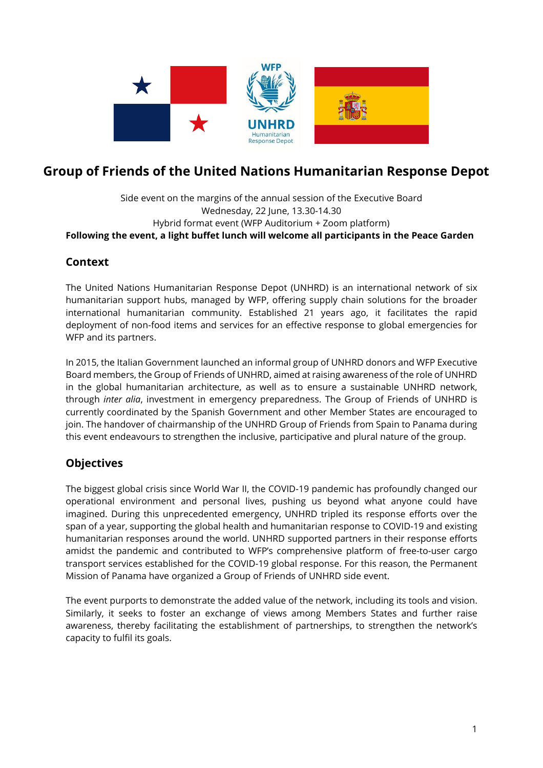

# **Group of Friends of the United Nations Humanitarian Response Depot**

#### Side event on the margins of the annual session of the Executive Board Wednesday, 22 June, 13.30-14.30 Hybrid format event (WFP Auditorium + Zoom platform) **Following the event, a light buffet lunch will welcome all participants in the Peace Garden**

#### **Context**

The United Nations Humanitarian Response Depot (UNHRD) is an international network of six humanitarian support hubs, managed by WFP, offering supply chain solutions for the broader international humanitarian community. Established 21 years ago, it facilitates the rapid deployment of non-food items and services for an effective response to global emergencies for WFP and its partners.

In 2015, the Italian Government launched an informal group of UNHRD donors and WFP Executive Board members, the Group of Friends of UNHRD, aimed at raising awareness of the role of UNHRD in the global humanitarian architecture, as well as to ensure a sustainable UNHRD network, through *inter alia*, investment in emergency preparedness. The Group of Friends of UNHRD is currently coordinated by the Spanish Government and other Member States are encouraged to join. The handover of chairmanship of the UNHRD Group of Friends from Spain to Panama during this event endeavours to strengthen the inclusive, participative and plural nature of the group.

### **Objectives**

The biggest global crisis since World War II, the COVID-19 pandemic has profoundly changed our operational environment and personal lives, pushing us beyond what anyone could have imagined. During this unprecedented emergency, UNHRD tripled its response efforts over the span of a year, supporting the global health and humanitarian response to COVID-19 and existing humanitarian responses around the world. UNHRD supported partners in their response efforts amidst the pandemic and contributed to WFP's comprehensive platform of free-to-user cargo transport services established for the COVID-19 global response. For this reason, the Permanent Mission of Panama have organized a Group of Friends of UNHRD side event.

The event purports to demonstrate the added value of the network, including its tools and vision. Similarly, it seeks to foster an exchange of views among Members States and further raise awareness, thereby facilitating the establishment of partnerships, to strengthen the network's capacity to fulfil its goals.